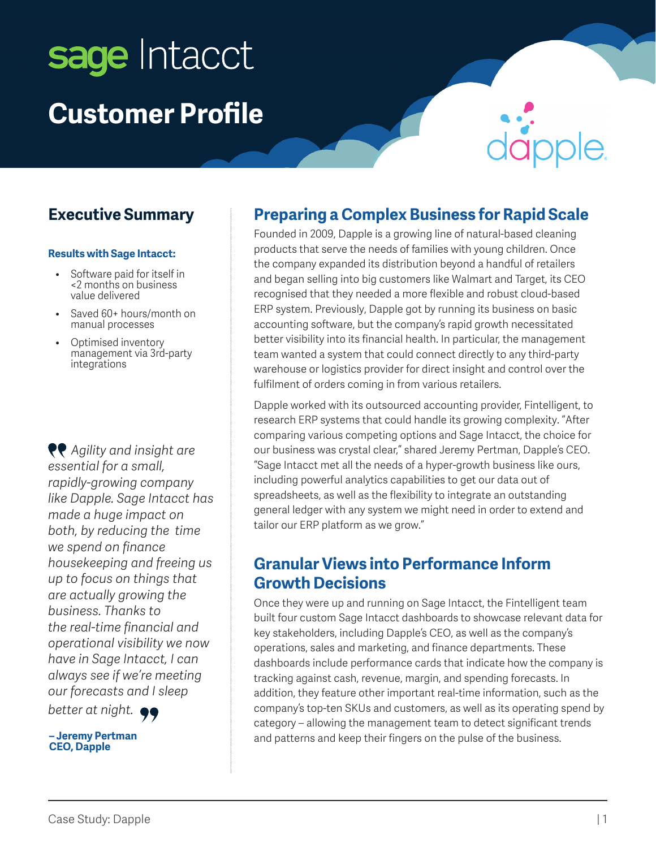# sage Intacct **Customer Profile**

### **Executive Summary**

#### **Results with Sage Intacct:**

- Software paid for itself in <2 months on business value delivered
- Saved 60+ hours/month on manual processes
- Optimised inventory management via 3rd-party integrations

*Agility and insight are essential for a small, rapidly-growing company like Dapple. Sage Intacct has made a huge impact on both, by reducing the time we spend on finance housekeeping and freeing us up to focus on things that are actually growing the business. Thanks to the real-time financial and operational visibility we now have in Sage Intacct, I can always see if we're meeting our forecasts and I sleep better at night.*

**– Jeremy Pertman CEO, Dapple**

#### **Preparing a Complex Business for Rapid Scale**

Founded in 2009, Dapple is a growing line of natural-based cleaning products that serve the needs of families with young children. Once the company expanded its distribution beyond a handful of retailers and began selling into big customers like Walmart and Target, its CEO recognised that they needed a more flexible and robust cloud-based ERP system. Previously, Dapple got by running its business on basic accounting software, but the company's rapid growth necessitated better visibility into its financial health. In particular, the management team wanted a system that could connect directly to any third-party warehouse or logistics provider for direct insight and control over the fulfilment of orders coming in from various retailers.

Dapple worked with its outsourced accounting provider, Fintelligent, to research ERP systems that could handle its growing complexity. "After comparing various competing options and Sage Intacct, the choice for our business was crystal clear," shared Jeremy Pertman, Dapple's CEO. "Sage Intacct met all the needs of a hyper-growth business like ours, including powerful analytics capabilities to get our data out of spreadsheets, as well as the flexibility to integrate an outstanding general ledger with any system we might need in order to extend and tailor our ERP platform as we grow."

#### **Granular Views into Performance Inform Growth Decisions**

Once they were up and running on Sage Intacct, the Fintelligent team built four custom Sage Intacct dashboards to showcase relevant data for key stakeholders, including Dapple's CEO, as well as the company's operations, sales and marketing, and finance departments. These dashboards include performance cards that indicate how the company is tracking against cash, revenue, margin, and spending forecasts. In addition, they feature other important real-time information, such as the company's top-ten SKUs and customers, as well as its operating spend by category – allowing the management team to detect significant trends and patterns and keep their fingers on the pulse of the business.